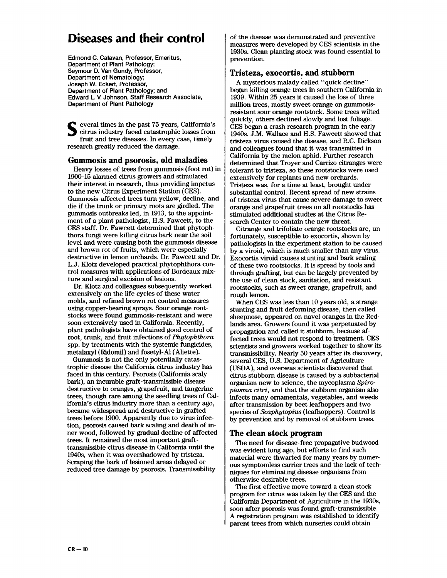# **Diseases and their control**

Edmond C. Calavan, Professor, Emeritus, Department of Plant Pathology; Seymour D. Van Gundy, Professor, Department of Nematology; Joseph W. Eckert, Professor, Department of Plant Pathology; and Edward L. V. Johnson, Staff Research Associate, Department of Plant Pathology

everal times in the past 75 years, California's citrus industry faced catastrophic losses from fruit and tree diseases. In every case, timely research greatly reduced the damage.

#### **Gummosis and psorosis, old maladies**

Heavy losses of trees from gummosis (foot rot) in **1900-15** alarmed citrus growers and stimulated their interest in research, thus providing impetus to the new Citrus Experiment Station (CES). Gummosis-affected trees turn yellow, decline, and die if the trunk or primary roots are girdled. The gummosis outbreaks led, in **1913,** to the appointment of a plant pathologist, H.S. Fawcett, to the CES staff. Dr. Fawcett determined that phytophthora fungi were killing citrus bark near the soil level and were causing both the gummosis disease and brown rot of fruits, which were especially destructive in lemon orchards. Dr. Fawcett and Dr. L. J. Klotz developed practical phytophthora control measures with applications of Bordeaux mixture and surgical excision of lesions.

Dr. Klotz and colleagues subsequently worked extensively on the life cycles of these water molds, and refined brown rot control measures using copper-bearing sprays. Sour orange rootstocks were found gummosis-resistant and were soon extensively used in California. Recently, plant pathologists have obtained good control of root, trunk, and fruit infections of *Phytophthma*  spp. by treatments with the systemic fungicides, metalaxyl (Ridomil) and fosetyl-A1 (Aliette).

Gummosis is not the only potentially catastrophic disease the California citrus industry has faced in this century. Psorosis (California scaly bark), an incurable graft-transmissible disease destructive to oranges, grapefruit, and tangerine trees, though rare among the seedling trees of California's citrus industry more than a century ago, became widespread and destructive in grafted trees before **1900.** Apparently due to virus infection, psorosis caused bark scaling and death of inner wood, followed by gradual decline of affected trees. It remained the most important grafttransmissible citrus disease in California until the **1940s,** when it was overshadowed by tristeza. Scraping the bark of lesioned areas delayed or reduced tree damage by psorosis. Transmissibility

of the disease was demonstrated and preventive measures were developed by CES scientists in the **1930s.** Clean planting stock was found essential to prevention.

## **Tristeza, exocortis, and stubborn**

A mysterious malady called "quick decline" began killing orange trees in southern California in **1939.** Within **25** years it caused the loss of three million trees, mostly sweet orange on gummosisresistant sour orange rootstock. Some trees wilted quickly, others declined slowly and lost foliage. CES began a crash research program in the early **1940s.** J.M. Wallace and H.S. Fawcett showed that tristeza virus caused the disease, and R.C. Dickson and colleagues found that it was transmitted in California by the melon aphid. Further research determined that Troyer and Carrizo citranges were tolerant to tristeza, so these rootstocks were used extensively for replants and new orchards. Tristeza was, for a time at least, brought under substantial control. Recent spread of new strains of tristeza virus that cause severe damage to sweet orange and grapefruit trees on all rootstocks has stimulated additional studies at the Citrus Research Center to contain the new threat.

Citrange and trifoliate orange rootstocks are, unfortunately, susceptible to exocortis, shown by pathologists in the experiment station to be caused by a viroid, which is much smaller than any virus. Exocortis viroid causes stunting and bark scaling of these two rootstocks. It is spread by tools and through grafting, but can be largely prevented by the use of clean stock, sanitation, and resistant rootstocks, such **as** sweet orange, grapefruit, and rough lemon.

When CES was less than **10** years old, a strange stunting and fruit deforming disease, then called sheepnose, appeared on navel oranges in the Redlands area. Growers found it was perpetuated by propagation and called it stubborn, because affected trees would not respond to treatment. CES scientists and growers worked together to show its transmissibility. Nearly **50** years after its discovery, several CES, U.S. Department of Agriculture (USDA), and overseas scientists discovered that citrus stubborn disease is caused by a subbacterial organism new to science, the mycoplasma *Spiro*plasma *citri,* and that the stubborn organism also infects many ornamentals, vegetables, and weeds after transmission by beet leafhoppers and two species of *Scaphytopius* (leafhoppers). Control is by prevention and by removal of stubborn trees.

### **The clean stock program**

The need for disease-free propagative budwood was evident long ago, but efforts to find such material were thwarted for many years by numerous symptomless carrier trees and the lack of techniques for eliminating disease organisms from otherwise desirable trees.

The first effective move toward a clean stock program for citrus was taken by the CES and the California Department of Agriculture in the **1930s,**  soon after psorosis was found graft-transmissible. A registration program was established to identify parent trees from which nurseries could obtain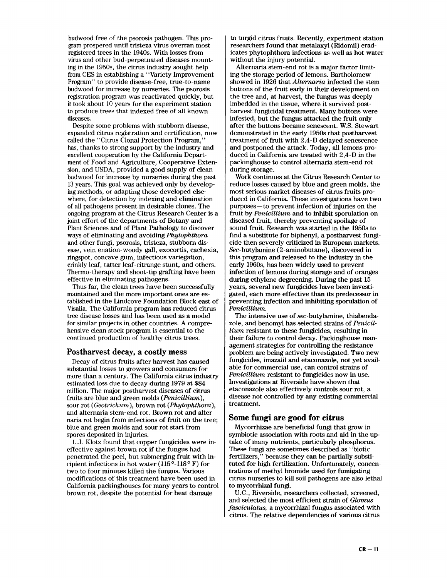budwood free of the psorosis pathogen. This pro**gram** prospered until tristeza virus overran most registered trees in the 1940s. With losses from virus and other bud-perpetuated diseases mounting in the 1950s, the citrus industry sought help from CES in establishing a "Variety Improvement Program" to provide disease-free, true-to-name budwood for increase by nurseries. The psorosis registration program was reactivated quickly, but it took about 10 years for the experiment station to produce trees that indexed free of all known diseases.

Despite some problems with stubborn disease, expanded citrus registration and certification, now called the "Citrus Clonal Protection Program," **has,** thanks to strong support by the industry and excellent cooperation by the California Department of Food and Agriculture, Cooperative Extension, and USDA, provided a good supply of clean budwood for increase by nurseries during the past 13 years. This goal was achieved only by developing methods, or adapting those developed elsewhere, for detection by indexing and elimination of all pathogens present in desirable clones. The ongoing program at the Citrus Research Center is a joint effort of the departments of Botany and Plant Sciences and of Plant Pathology to discover ways of eliminating and avoiding *Phytophthora*  and other fungi, psorosis, tristeza, stubborn disease, vein enation- woody gall, exocortis, cachexia, ringspot, concave gum, infectious variegation, crinkly leaf, tatter leaf-citrange stunt, and others. Thermo-therapy and shoot-tip grafting have been effective in eliminating pathogens.

Thus far, the clean trees have been successfully maintained and the more important ones are established in the Lindcove Foundation Block east of Visalia. The California program has reduced citrus tree disease losses and has been used **as** a model for similar projects in other countries. A comprehensive clean stock program is essential to the continued production of healthy citrus trees.

#### **Postharvest decay, a costly mess**

Decay of citrus fruits after harvest has caused substantial losses to growers and consumers for more than a century. The California citrus industry estimated loss due to decay during 1979 at \$84 million. The major postharvest diseases of citrus fruits are blue and green molds *(Penicillium),*  sour rot *(Geotrichwm),* brown rot *(Phytophthora),*  and alternaria stem-end rot. Brown rot and alternaria rot begin from infections of fruit on the tree; blue and green molds and sour rot start from spores deposited in injuries.

L.J. Klotz found that copper fungicides were ineffective against brown rot if the fungus had penetrated the peel, but submerging fruit with incipient infections in hot water  $(115^{\circ} - 118^{\circ} F)$  for two to four minutes killed the fungus. Various modifications of this treatment have been used in California packinghouses for many years to control brown rot, despite the potential for heat damage

to turgid citrus fruits. Recently, experiment station researchers found that metalaxyl (Ridomil) eradicates phytophthora infections **as** well **as** hot water without the injury potential.

Alternaria stem-end rot is a major factor limiting the storage period of lemons. Bartholomew showed in 1926 that *Alternaria* infected the stem buttons of the fruit early in their development on the tree and, at harvest, the fungus was deeply imbedded in the tissue, where it survived postharvest fungicidal treatment. Many buttons were infested, but the fungus attacked the fruit only after the buttons became senescent. W.S. Stewart demonstrated in the early 1950s that postharvest treatment of fruit with 2,4-D delayed senescence and postponed the attack. Today, all lemons produced in California are treated with 2,4-D in the packinghouse to control alternaria stem-end rot during storage.

Work continues at the Citrus Research Center to reduce losses caused by blue and green molds, the most serious market diseases of citrus fruits produced in California. These investigations have two purposes- to prevent infection of injuries on the fruit by *Penicillium* and to inhibit sporulation on diseased fruit, thereby preventing spoilage of sound fruit. Research was started in the 1950s to find a substitute for biphenyl, a postharvest fungicide then severely criticized in European markets. Sec-butylamine (2-aminobutane), discovered in this program and released to the industry in the early 1960s, has been widely used to prevent infection of lemons during storage and of oranges during ethylene degreening. During the past 15 years, several new fungicides have been investigated, each more effective than its predecessor in preventing infection and inhibiting sporulation of *Penicillium.* 

The intensive use of sec-butylamine, thiabendazole, and benomyl has selected strains of *Penicillium* resistant to these fungicides, resulting in their failure to control decay. Packinghouse management strategies for controlling the resistance problem are being actively investigated. Two new fungicides, imazalil and etaconazole, not yet available for commercial use, can control strains of *Penicillium* resistant to fungicides now in use. Investigations at Riverside have shown that etaconazole also effectively controls sour rot, a disease not controlled by any existing commercial treatment.

### **Some fungi are good for citrus**

Mycorrhizae are beneficial fungi that grow in symbiotic association with roots and aid in the uptake of many nutrients, particularly phosphorus. These fungi are sometimes described **as** "biotic fertilizers," because they can be partially substituted for high fertilization. Unfortunately, concentrations of methyl bromide used for fumigating citrus nurseries to kill soil pathogens are also lethal to mycorrhizal fungi.

U.C., Riverside, researchers collected, screened, and selected the most efficient strain of *Glomus fasciculatus,* a mycorrhizal fungus associated with citrus. The relative dependencies of various citrus